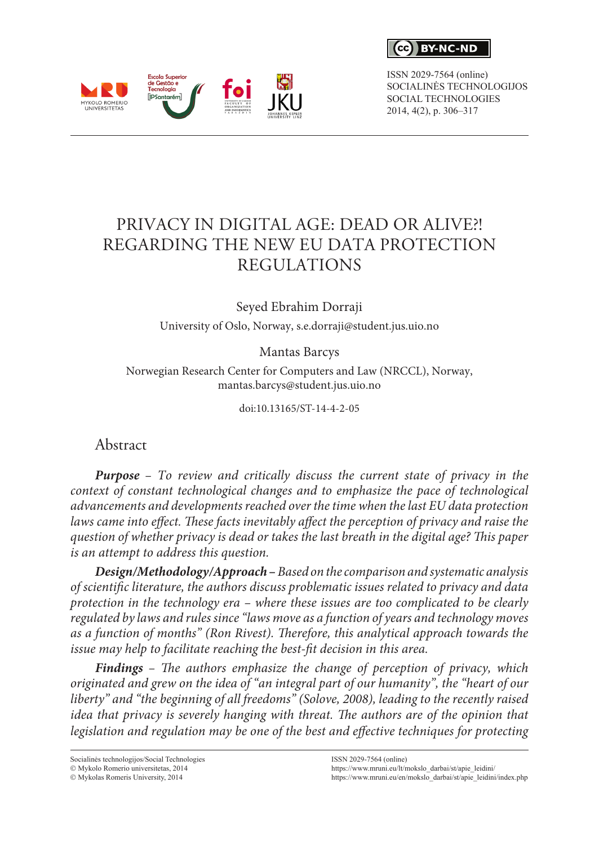$\epsilon$ c $\lambda$ **RY-NC-ND** 

ISSN 2029-7564 (online) SOCIALINĖS TECHNOLOGIJOS SOCIAL TECHNOLOGIES 2014, 4(2), p. 306–317



# PRIVACY IN DIGITAL AGE: DEAD OR ALIVE?! REGARDING THE NEW EU DATA PROTECTION REGULATIONS

Seyed Ebrahim Dorraji

University of Oslo, Norway, s.e.dorraji@student.jus.uio.no

Mantas Barcys

Norwegian Research Center for Computers and Law (NRCCL), Norway, mantas.barcys@student.jus.uio.no

doi:10.13165/ST-14-4-2-05

Abstract

*Purpose – To review and critically discuss the current state of privacy in the context of constant technological changes and to emphasize the pace of technological advancements and developments reached over the time when the last EU data protection laws came into effect. These facts inevitably affect the perception of privacy and raise the question of whether privacy is dead or takes the last breath in the digital age? This paper is an attempt to address this question.*

*Design/Methodology/Approach* **–** *Based on the comparison and systematic analysis of scientific literature, the authors discuss problematic issues related to privacy and data protection in the technology era – where these issues are too complicated to be clearly regulated by laws and rules since "laws move as a function of years and technology moves as a function of months" (Ron Rivest). Therefore, this analytical approach towards the issue may help to facilitate reaching the best-fit decision in this area.*

*Findings – The authors emphasize the change of perception of privacy, which originated and grew on the idea of "an integral part of our humanity", the "heart of our liberty" and "the beginning of all freedoms" (Solove, 2008), leading to the recently raised idea that privacy is severely hanging with threat. The authors are of the opinion that legislation and regulation may be one of the best and effective techniques for protecting* 

Socialinės technologijos/Social Technologies  $\odot$  Mykolo Romerio universitetas, 2014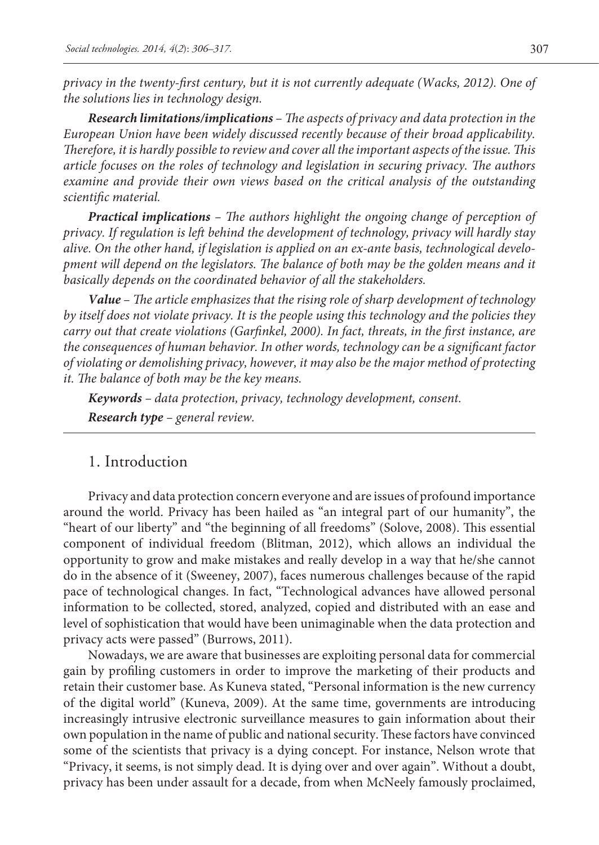*privacy in the twenty-first century, but it is not currently adequate (Wacks, 2012). One of the solutions lies in technology design.* 

*Research limitations/implications – The aspects of privacy and data protection in the European Union have been widely discussed recently because of their broad applicability. Therefore, it is hardly possible to review and cover all the important aspects of the issue. This article focuses on the roles of technology and legislation in securing privacy. The authors examine and provide their own views based on the critical analysis of the outstanding scientific material.*

*Practical implications – The authors highlight the ongoing change of perception of privacy. If regulation is left behind the development of technology, privacy will hardly stay alive. On the other hand, if legislation is applied on an ex-ante basis, technological development will depend on the legislators. The balance of both may be the golden means and it basically depends on the coordinated behavior of all the stakeholders.*

*Value – The article emphasizes that the rising role of sharp development of technology by itself does not violate privacy. It is the people using this technology and the policies they carry out that create violations (Garfinkel, 2000). In fact, threats, in the first instance, are the consequences of human behavior. In other words, technology can be a significant factor of violating or demolishing privacy, however, it may also be the major method of protecting it. The balance of both may be the key means.* 

*Keywords – data protection, privacy, technology development, consent.*

*Research type – general review.*

#### 1. Introduction

Privacy and data protection concern everyone and are issues of profound importance around the world. Privacy has been hailed as "an integral part of our humanity", the "heart of our liberty" and "the beginning of all freedoms" (Solove, 2008). This essential component of individual freedom [\(Blitman,](http://thewrittenblit.com/author/ablitz4390/) 2012), which allows an individual the opportunity to grow and make mistakes and really develop in a way that he/she cannot do in the absence of it (Sweeney, 2007), faces numerous challenges because of the rapid pace of technological changes. In fact, "Technological advances have allowed personal information to be collected, stored, analyzed, copied and distributed with an ease and level of sophistication that would have been unimaginable when the data protection and privacy acts were passed" (Burrows, 2011).

Nowadays, we are aware that businesses are exploiting personal data for commercial gain by profiling customers in order to improve the marketing of their products and retain their customer base. As Kuneva stated, "Personal information is the new currency of the digital world" (Kuneva, 2009). At the same time, governments are introducing increasingly intrusive electronic surveillance measures to gain information about their own population in the name of public and national security. These factors have convinced some of the scientists that privacy is a dying concept. For instance, Nelson wrote that "Privacy, it seems, is not simply dead. It is dying over and over again". Without a doubt, privacy has been under assault for a decade, from [when McNeely famously proclaimed](http://www.wired.com/politics/law/news/1999/01/17538),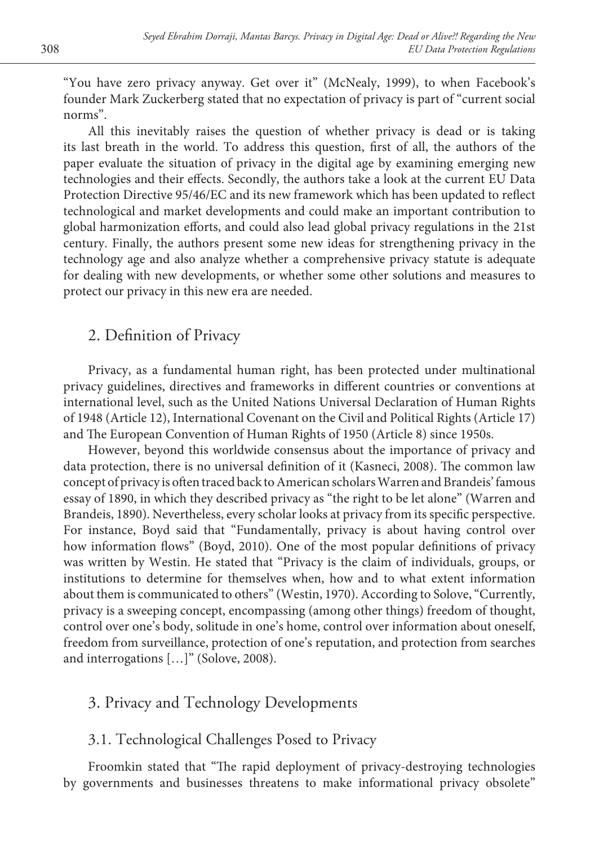"You have zero privacy anyway. Get over it" (McNealy, 1999), to when [Facebook's](http://www.readwriteweb.com/archives/facebooks_zuckerberg_says_the_age_of_privacy_is_ov.php)  [founder Mark Zuckerberg stated that no expectation of privacy is part of "current social](http://www.readwriteweb.com/archives/facebooks_zuckerberg_says_the_age_of_privacy_is_ov.php)  [norms".](http://www.readwriteweb.com/archives/facebooks_zuckerberg_says_the_age_of_privacy_is_ov.php)

All this inevitably raises the question of whether privacy is dead or is taking its last breath in the world. To address this question, first of all, the authors of the paper evaluate the situation of privacy in the digital age by examining emerging new technologies and their effects. Secondly, the authors take a look at the current [EU Data](http://en.wikipedia.org/wiki/Data_Protection_Directive)  [Protection Directive 95/46/EC](http://en.wikipedia.org/wiki/Data_Protection_Directive) and its new framework which has been updated to reflect technological and market developments and could make an important contribution to global harmonization efforts, and could also lead global privacy regulations in the 21st century. Finally, the authors present some new ideas for strengthening privacy in the technology age and also analyze whether a comprehensive privacy statute is adequate for dealing with new developments, or whether some other solutions and measures to protect our privacy in this new era are needed.

### 2. Definition of Privacy

Privacy, as a fundamental human right, has been protected under multinational privacy guidelines, directives and frameworks in different countries or conventions at international level, such as the United Nations Universal Declaration of Human Rights of 1948 (Article 12), International Covenant on the Civil and Political Rights (Article 17) and The European Convention of Human Rights of 1950 (Article 8) since 1950s.

However, beyond this worldwide consensus about the importance of privacy and data protection, there is no universal definition of it (Kasneci, 2008). The common law concept of privacy is often traced back to American scholars Warren and Brandeis' famous essay of 1890, in which they described privacy as "the right to be let alone" (Warren and Brandeis, 1890). Nevertheless, every scholar looks at privacy from its specific perspective. For instance, Boyd said that "Fundamentally, privacy is about having control over how information flows" (Boyd, 2010). One of the most popular definitions of privacy was written by Westin. He stated that "Privacy is the claim of individuals, groups, or institutions to determine for themselves when, how and to what extent information about them is communicated to others" (Westin, 1970). According to Solove, "Currently, privacy is a sweeping concept, encompassing (among other things) freedom of thought, control over one's body, solitude in one's home, control over information about oneself, freedom from surveillance, protection of one's reputation, and protection from searches and interrogations [...]" (Solove, 2008).

### 3. Privacy and Technology Developments

### 3.1. Technological Challenges Posed to Privacy

Froomkin stated that "The rapid deployment of privacy-destroying technologies by governments and businesses threatens to make informational privacy obsolete"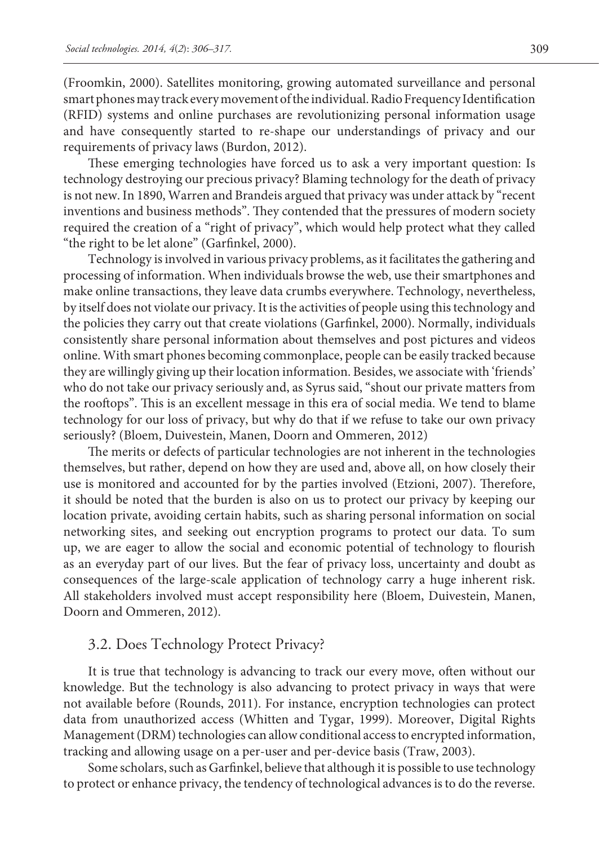(Froomkin, 2000). Satellites monitoring, growing automated surveillance and personal smart phones may track every movement of the individual. Radio Frequency Identification (RFID) systems and online purchases are revolutionizing personal information usage and have consequently started to re-shape our understandings of privacy and our requirements of privacy laws (Burdon, 2012).

These emerging technologies have forced us to ask a very important question: Is technology destroying our precious privacy? Blaming technology for the death of privacy is not new. In 1890, Warren and Brandeis argued that privacy was under attack by "recent inventions and business methods". They contended that the pressures of modern society required the creation of a "right of privacy", which would help protect what they called "the right to be let alone" (Garfinkel, 2000).

Technology is involved in various privacy problems, as it facilitates the gathering and processing of information. When individuals browse the web, use their smartphones and make online transactions, they leave data crumbs everywhere. Technology, nevertheless, by itself does not violate our privacy. It is the activities of people using this technology and the policies they carry out that create violations (Garfinkel, 2000). Normally, individuals consistently share personal information about themselves and post pictures and videos online. With smart phones becoming commonplace, people can be easily tracked because they are willingly giving up their location information. Besides, we associate with 'friends' who do not take our privacy seriously and, as Syrus said, "shout our private matters from the rooftops". This is an excellent message in this era of social media. We tend to blame technology for our loss of privacy, but why do that if we refuse to take our own privacy seriously? (Bloem, Duivestein, Manen, Doorn and Ommeren, 2012)

The merits or defects of particular technologies are not inherent in the technologies themselves, but rather, depend on how they are used and, above all, on how closely their use is monitored and accounted for by the parties involved (Etzioni, 2007). Therefore, it should be noted that the burden is also on us to protect our privacy by keeping our location private, avoiding certain habits, such as sharing personal information on social networking sites, and seeking out encryption programs to protect our data. To sum up, we are eager to allow the social and economic potential of technology to flourish as an everyday part of our lives. But the fear of privacy loss, uncertainty and doubt as consequences of the large-scale application of technology carry a huge inherent risk. All stakeholders involved must accept responsibility here (Bloem, Duivestein, Manen, Doorn and Ommeren, 2012).

#### 3.2. Does Technology Protect Privacy?

It is true that [technology is advancing to track our every move](http://androidsecuritytest.com/features/logs-and-services/loggers/carrieriq/), often without our knowledge. But the technology is also advancing to protect privacy in ways that were not available before (Rounds, 2011). For instance, encryption technologies can protect data from unauthorized access (Whitten and Tygar, 1999). Moreover, Digital Rights Management (DRM) technologies can allow conditional access to encrypted information, tracking and allowing usage on a per-user and per-device basis (Traw, 2003).

Some scholars, such as Garfinkel, believe that although it is possible to use technology to protect or enhance privacy, the tendency of technological advances is to do the reverse.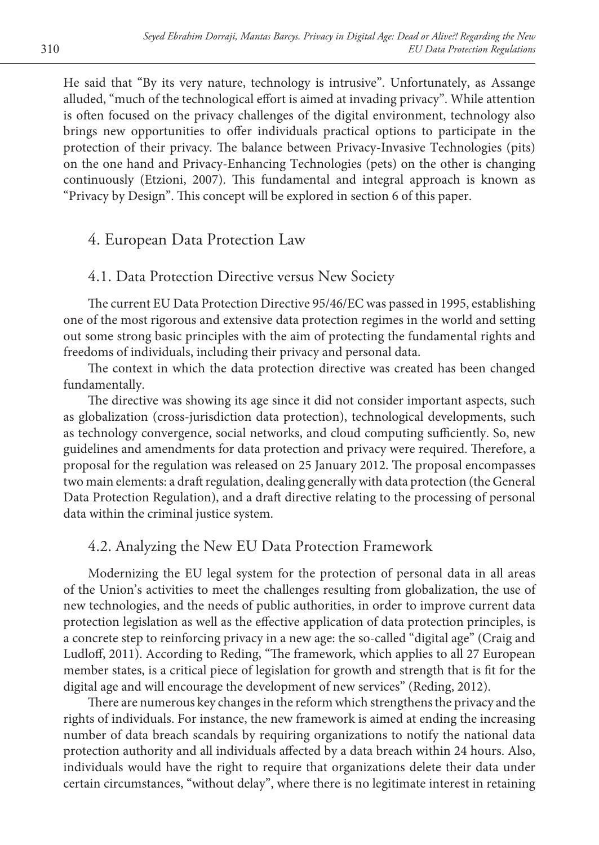He said that "By its very nature, technology is intrusive". Unfortunately, as [Assange](http://news.nationalpost.com/2011/12/02/iphone-blackberry-gmail-users-are-all-screwed-julian-assange/) alluded, "much of the technological effort is aimed at invading privacy". While attention is often focused on the privacy challenges of the digital environment, technology also brings new opportunities to offer individuals practical options to participate in the protection of their privacy. The balance between Privacy-Invasive Technologies (pits) on the one hand and Privacy-Enhancing Technologies (pets) on the other is changing continuously (Etzioni, 2007). This fundamental and integral approach is known as "Privacy by Design". This concept will be explored in section 6 of this paper.

## 4. European Data Protection Law

### 4.1. Data Protection Directive versus New Society

The current [EU Data Protection Directive 95/46/EC](http://en.wikipedia.org/wiki/Data_Protection_Directive) was passed in 1995, establishing one of the most rigorous and extensive data protection regimes in the world and setting out some strong basic principles with the aim of protecting the fundamental rights and freedoms of individuals, including their privacy and personal data.

The context in which the data protection directive was created has been changed fundamentally.

The directive was showing its age since it did not consider important aspects, such as globalization (cross‐jurisdiction data protection), technological developments, such as technology convergence, social networks, and cloud computing sufficiently. So, new guidelines and amendments for data protection and privacy were required. Therefore, a proposal for the regulation was released on 25 January 2012. The proposal encompasses two main elements: a draft regulation, dealing generally with data protection (the General Data Protection Regulation), and a draft directive relating to the processing of personal data within the criminal justice system.

## 4.2. Analyzing the New EU Data Protection Framework

Modernizing the EU legal system for the protection of personal data in all areas of the Union's activities to meet the challenges resulting from globalization, the use of new technologies, and the needs of public authorities, in order to improve current data protection legislation as well as the effective application of data protection principles, is a concrete step to reinforcing privacy in a new age: the so-called "digital age" (Craig and Ludloff, 2011). According to Reding, "The framework, which applies to all 27 European member states, is a critical piece of legislation for growth and strength that is fit for the digital age and will encourage the development of new services" (Reding, 2012).

There are numerous key changes in the reform which strengthens the privacy and the rights of individuals. For instance, the new framework is aimed at ending the increasing number of data breach scandals by requiring organizations to notify the national data protection authority and all individuals affected by a data breach within 24 hours. Also, individuals would have the right to require that organizations delete their data under certain circumstances, "without delay", where there is no legitimate interest in retaining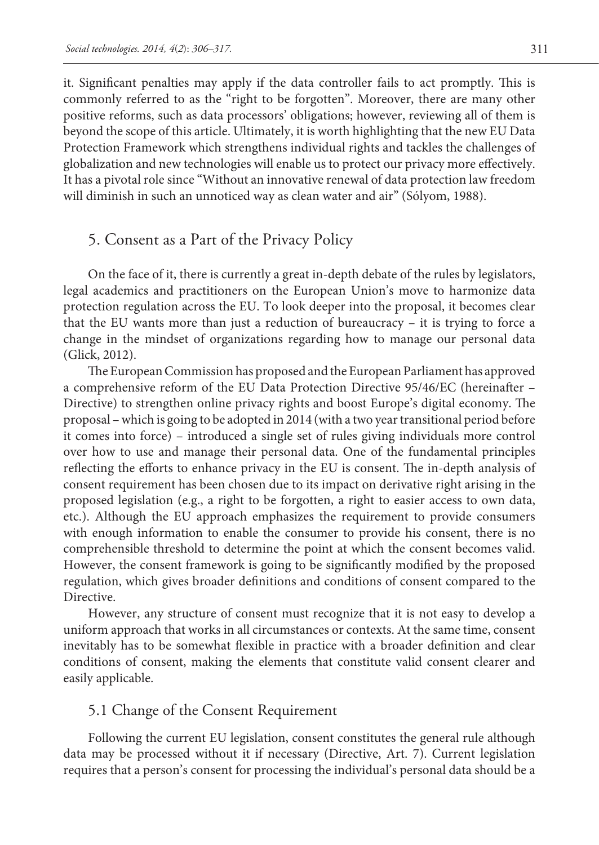it. Significant penalties may apply if the data controller fails to act promptly. This is commonly referred to as the "right to be forgotten". Moreover, there are many other positive reforms, such as data processors' obligations; however, reviewing all of them is beyond the scope of this article. Ultimately, it is worth highlighting that the new EU Data Protection Framework which strengthens individual rights and tackles the challenges of globalization and new technologies will enable us to protect our privacy more effectively. It has a pivotal role since "Without an innovative renewal of data protection law freedom will diminish in such an unnoticed way as clean water and air" (Sólyom, 1988).

#### 5. Consent as a Part of the Privacy Policy

On the face of it, there is currently a great in-depth debate of the rules by legislators, legal academics and practitioners on the European Union's move to harmonize data protection regulation across the EU. To look deeper into the proposal, it becomes clear that the EU wants more than just a reduction of bureaucracy – it is trying to force a change in the mindset of organizations regarding how to manage our personal data (Glick, 2012).

The European Commission has proposed and the European Parliament has approved a comprehensive reform of the EU Data Protection Directive 95/46/EC (hereinafter – Directive) to strengthen online privacy rights and boost Europe's digital economy. The proposal – which is going to be adopted in 2014 (with a two year transitional period before it comes into force) – introduced a single set of rules giving individuals more control over how to use and manage their personal data. One of the fundamental principles reflecting the efforts to enhance privacy in the EU is consent. The in-depth analysis of consent requirement has been chosen due to its impact on derivative right arising in the proposed legislation (e.g., a right to be forgotten, a right to easier access to own data, etc.). Although the EU approach emphasizes the requirement to provide consumers with enough information to enable the consumer to provide his consent, there is no comprehensible threshold to determine the point at which the consent becomes valid. However, the consent framework is going to be significantly modified by the proposed regulation, which gives broader definitions and conditions of consent compared to the Directive.

However, any structure of consent must recognize that it is not easy to develop a uniform approach that works in all circumstances or contexts. At the same time, consent inevitably has to be somewhat flexible in practice with a broader definition and clear conditions of consent, making the elements that constitute valid consent clearer and easily applicable.

#### 5.1 Change of the Consent Requirement

Following the current EU legislation, consent constitutes the general rule although data may be processed without it if necessary (Directive, Art. 7). Current legislation requires that a person's consent for processing the individual's personal data should be a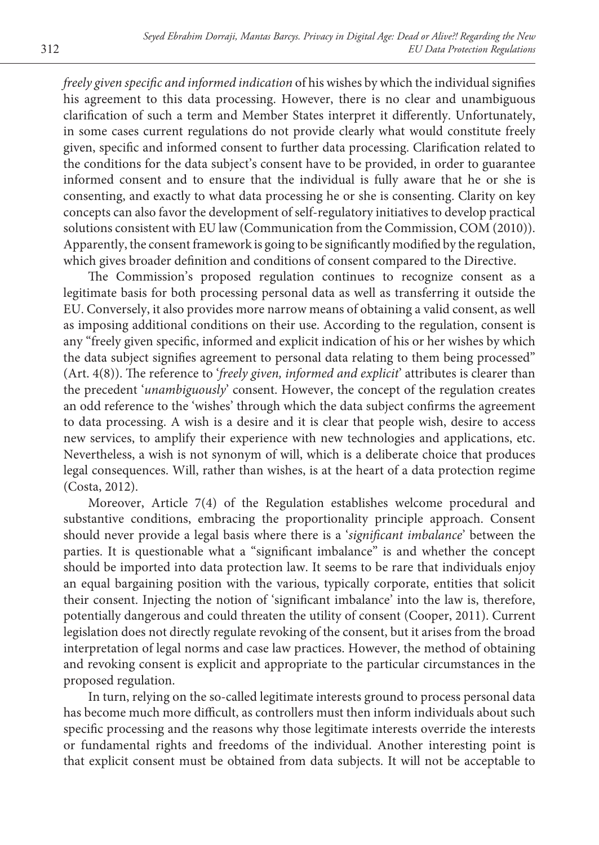*freely given specific and informed indication* of his wishes by which the individual signifies his agreement to this data processing. However, there is no clear and unambiguous clarification of such a term and Member States interpret it differently. Unfortunately, in some cases current regulations do not provide clearly what would constitute freely given, specific and informed consent to further data processing. Clarification related to the conditions for the data subject's consent have to be provided, in order to guarantee informed consent and to ensure that the individual is fully aware that he or she is consenting, and exactly to what data processing he or she is consenting. Clarity on key concepts can also favor the development of self-regulatory initiatives to develop practical solutions consistent with EU law (Communication from the Commission, COM (2010)). Apparently, the consent framework is going to be significantly modified by the regulation, which gives broader definition and conditions of consent compared to the Directive.

The Commission's proposed regulation continues to recognize consent as a legitimate basis for both processing personal data as well as transferring it outside the EU. Conversely, it also provides more narrow means of obtaining a valid consent, as well as imposing additional conditions on their use. According to the regulation, consent is any "freely given specific, informed and explicit indication of his or her wishes by which the data subject signifies agreement to personal data relating to them being processed" (Art. 4(8)). The reference to '*freely given, informed and explicit*' attributes is clearer than the precedent '*unambiguously*' consent. However, the concept of the regulation creates an odd reference to the 'wishes' through which the data subject confirms the agreement to data processing. A wish is a desire and it is clear that people wish, desire to access new services, to amplify their experience with new technologies and applications, etc. Nevertheless, a wish is not synonym of will, which is a deliberate choice that produces legal consequences. Will, rather than wishes, is at the heart of a data protection regime (Costa, 2012).

Moreover, Article 7(4) of the Regulation establishes welcome procedural and substantive conditions, embracing the proportionality principle approach. Consent should never provide a legal basis where there is a '*significant imbalance*' between the parties. It is questionable what a "significant imbalance" is and whether the concept should be imported into data protection law. It seems to be rare that individuals enjoy an equal bargaining position with the various, typically corporate, entities that solicit their consent. Injecting the notion of 'significant imbalance' into the law is, therefore, potentially dangerous and could threaten the utility of consent (Cooper, 2011). Current legislation does not directly regulate revoking of the consent, but it arises from the broad interpretation of legal norms and case law practices. However, the method of obtaining and revoking consent is explicit and appropriate to the particular circumstances in the proposed regulation.

In turn, relying on the so-called legitimate interests ground to process personal data has become much more difficult, as controllers must then inform individuals about such specific processing and the reasons why those legitimate interests override the interests or fundamental rights and freedoms of the individual. Another interesting point is that explicit consent must be obtained from data subjects. It will not be acceptable to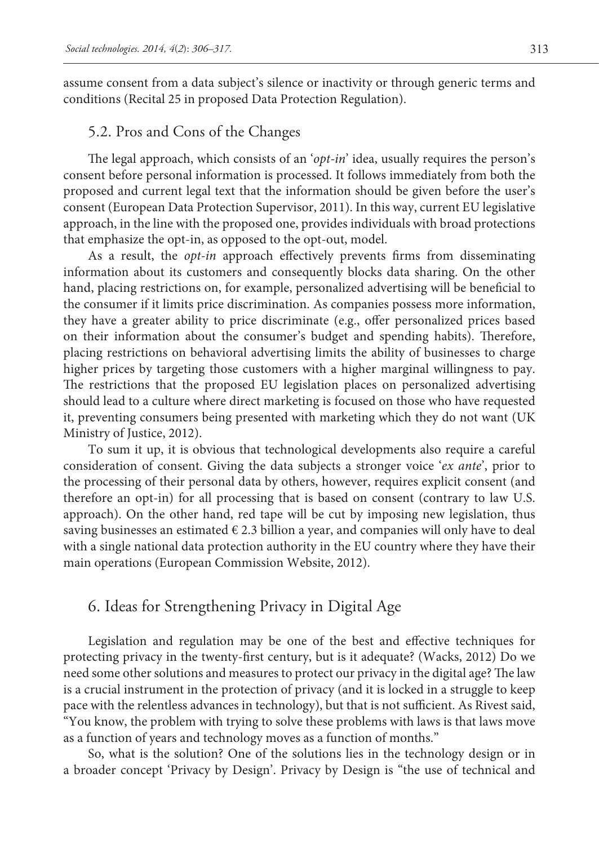assume consent from a data subject's silence or inactivity or through generic terms and conditions (Recital 25 in proposed Data Protection Regulation).

#### 5.2. Pros and Cons of the Changes

The legal approach, which consists of an '*opt-in*' idea, usually requires the person's consent before personal information is processed. It follows immediately from both the proposed and current legal text that the information should be given before the user's consent (European Data Protection Supervisor, 2011). In this way, current EU legislative approach, in the line with the proposed one, provides individuals with broad protections that emphasize the opt-in, as opposed to the opt-out, model.

As a result, the *opt-in* approach effectively prevents firms from disseminating information about its customers and consequently blocks data sharing. On the other hand, placing restrictions on, for example, personalized advertising will be beneficial to the consumer if it limits price discrimination. As companies possess more information, they have a greater ability to price discriminate (e.g., offer personalized prices based on their information about the consumer's budget and spending habits). Therefore, placing restrictions on behavioral advertising limits the ability of businesses to charge higher prices by targeting those customers with a higher marginal willingness to pay. The restrictions that the proposed EU legislation places on personalized advertising should lead to a culture where direct marketing is focused on those who have requested it, preventing consumers being presented with marketing which they do not want (UK Ministry of Justice, 2012).

To sum it up, it is obvious that technological developments also require a careful consideration of consent. Giving the data subjects a stronger voice '*ex ante*', prior to the processing of their personal data by others, however, requires explicit consent (and therefore an opt-in) for all processing that is based on consent (contrary to law U.S. approach). On the other hand, red tape will be cut by imposing new legislation, thus saving businesses an estimated  $\epsilon$  2.3 billion a year, and companies will only have to deal with a single national data protection authority in the EU country where they have their main operations (European Commission Website, 2012).

#### 6. Ideas for Strengthening Privacy in Digital Age

Legislation and regulation may be one of the best and effective techniques for protecting privacy in the twenty-first century, but is it adequate? (Wacks, 2012) Do we need some other solutions and measures to protect our privacy in the digital age? The law is a crucial instrument in the protection of privacy (and it is locked in a struggle to keep pace with the relentless advances in technology), but that is not sufficient. As Rivest said, "You know, the problem with trying to solve these problems with laws is that laws move as a function of years and technology moves as a function of months."

So, what is the solution? One of the solutions lies in the technology design or in a broader concept 'Privacy by Design'. Privacy by Design is "the use of technical and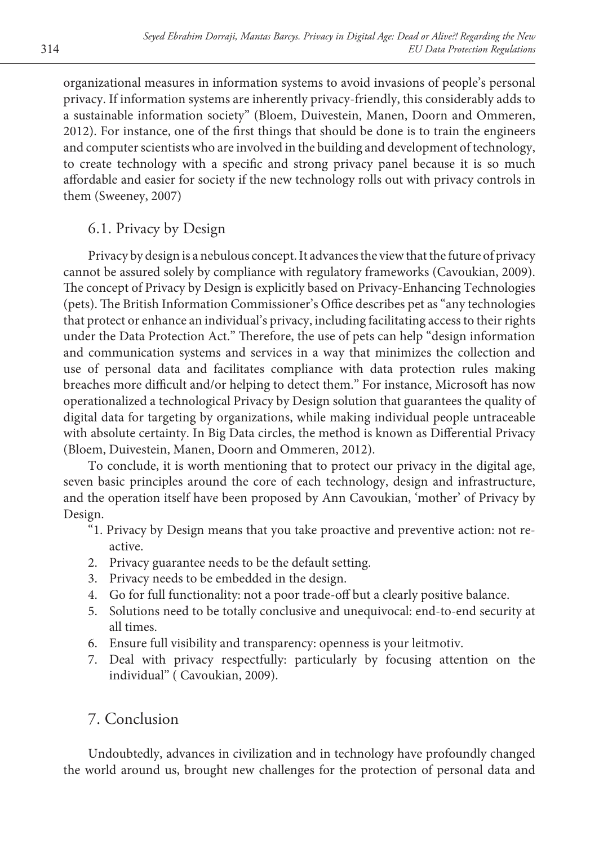organizational measures in information systems to avoid invasions of people's personal privacy. If information systems are inherently privacy-friendly, this considerably adds to a sustainable information society" (Bloem, Duivestein, Manen, Doorn and Ommeren, 2012). For instance, one of the first things that should be done is to train the engineers and computer scientists who are involved in the building and development of technology, to create technology with a specific and strong privacy panel because it is so much affordable and easier for society if the new technology rolls out with privacy controls in them (Sweeney, 2007)

### 6.1. Privacy by Design

Privacy by design is a nebulous concept. It advances the view that the future of privacy cannot be assured solely by compliance with regulatory frameworks (Cavoukian, 2009). The concept of Privacy by Design is explicitly based on Privacy-Enhancing Technologies (pets). The British Information Commissioner's Office describes pet as "any technologies that protect or enhance an individual's privacy, including facilitating access to their rights under the Data Protection Act." Therefore, the use of pets can help "design information and communication systems and services in a way that minimizes the collection and use of personal data and facilitates compliance with data protection rules making breaches more difficult and/or helping to detect them." For instance, Microsoft has now operationalized a technological Privacy by Design solution that guarantees the quality of digital data for targeting by organizations, while making individual people untraceable with absolute certainty. In Big Data circles, the method is known as Differential Privacy (Bloem, Duivestein, Manen, Doorn and Ommeren, 2012).

To conclude, it is worth mentioning that to protect our privacy in the digital age, seven basic principles around the core of each technology, design and infrastructure, and the operation itself have been proposed by Ann Cavoukian, 'mother' of Privacy by Design.

- "1. Privacy by Design means that you take proactive and preventive action: not reactive.
- 2. Privacy guarantee needs to be the default setting.
- 3. Privacy needs to be embedded in the design.
- 4. Go for full functionality: not a poor trade-off but a clearly positive balance.
- 5. Solutions need to be totally conclusive and unequivocal: end-to-end security at all times.
- 6. Ensure full visibility and transparency: openness is your leitmotiv.
- 7. Deal with privacy respectfully: particularly by focusing attention on the individual" ( Cavoukian, 2009).

## 7. Conclusion

Undoubtedly, advances in civilization and in technology have profoundly changed the world around us, brought new challenges for the protection of personal data and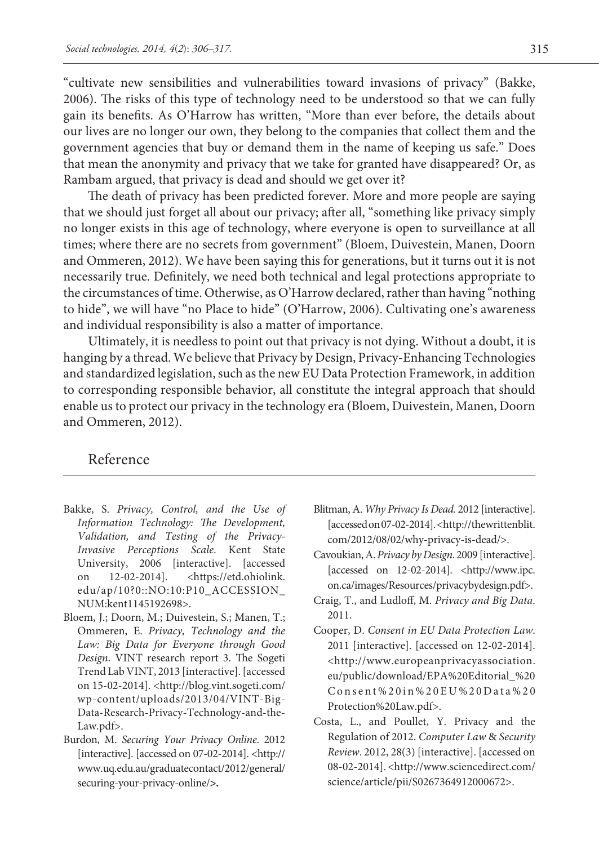"cultivate new sensibilities and vulnerabilities toward invasions of privacy" (Bakke, 2006). The risks of this type of technology need to be understood so that we can fully gain its benefits. As O'Harrow has written, "More than ever before, the details about our lives are no longer our own, they belong to the companies that collect them and the government agencies that buy or demand them in the name of keeping us safe." Does that mean the anonymity and privacy that we take for granted have disappeared? Or, as Rambam argued, that privacy is dead and should we get over it?

The death of privacy has been predicted forever. More and more people are saying that we should just forget all about our privacy; after all, "something like privacy simply no longer exists in this age of technology, where everyone is open to surveillance at all times; where there are no secrets from government" (Bloem, Duivestein, Manen, Doorn and Ommeren, 2012). We have been saying this for generations, but it turns out it is not necessarily true. Definitely, we need both technical and legal protections appropriate to the circumstances of time. Otherwise, as O'Harrow declared, rather than having "nothing to hide", we will have "no Place to hide" (O'Harrow, 2006). Cultivating one's awareness and individual responsibility is also a matter of importance.

Ultimately, it is needless to point out that privacy is not dying. Without a doubt, it is hanging by a thread. We believe that Privacy by Design, Privacy-Enhancing Technologies and standardized legislation, such as the new EU Data Protection Framework, in addition to corresponding responsible behavior, all constitute the integral approach that should enable us to protect our privacy in the technology era (Bloem, Duivestein, Manen, Doorn and Ommeren, 2012).

#### Reference

- Bakke, S. *Privacy, Control, and the Use of Information Technology: The Development, Validation, and Testing of the Privacy-Invasive Perceptions Scale*. Kent State University, 2006 [interactive]. [accessed on 12-02-2014]. <[https://etd.ohiolink.](https://etd.ohiolink.edu/ap/10?0::NO:10:P10_ACCESSION_NUM:kent1145192698) [edu/ap/10?0::NO:10:P10\\_ACCESSION\\_](https://etd.ohiolink.edu/ap/10?0::NO:10:P10_ACCESSION_NUM:kent1145192698) [NUM:kent1145192698>](https://etd.ohiolink.edu/ap/10?0::NO:10:P10_ACCESSION_NUM:kent1145192698).
- Bloem, J.; Doorn, M.; Duivestein, S.; Manen, T.; Ommeren, E. *Privacy, Technology and the Law: Big Data for Everyone through Good Design*. VINT research report 3. The Sogeti Trend Lab VINT, 2013 [interactive]. [accessed on 15-02-2014]. <http://blog.vint.sogeti.com/ wp-content/uploads/2013/04/VINT-Big-Data-Research-Privacy-Technology-and-the-Law.pdf>.
- Burdon, M. *Securing Your Privacy Online*. 2012 [interactive]. [accessed on 07-02-2014]. [<http://](http://www.uq.edu.au/graduatecontact/2012/general/securing-your-privacy-online/) [www.uq.edu.au/graduatecontact/2012/general/](http://www.uq.edu.au/graduatecontact/2012/general/securing-your-privacy-online/) [securing-your-privacy-online/](http://www.uq.edu.au/graduatecontact/2012/general/securing-your-privacy-online/)**>.**
- [Blitman,](http://thewrittenblit.com/author/ablitz4390/) A. *Why Privacy Is Dead.* 2012 [interactive]. [accessed on 07-02-2014]. <[http://thewrittenblit.](http://thewrittenblit.com/2012/08/02/why-privacy-is-dead/) [com/2012/08/02/why-privacy-is-dead/>](http://thewrittenblit.com/2012/08/02/why-privacy-is-dead/).
- Cavoukian, A. *Privacy by Design*. 2009 [interactive]. [accessed on 12-02-2014]. <http://www.ipc. on.ca/images/Resources/privacybydesign.pdf>.
- Craig, T., and Ludloff, M. *Privacy and Big Data*. 2011.
- Cooper, D. *Consent in EU Data Protection Law*. 2011 [interactive]. [accessed on 12-02-2014]. <[http://www.europeanprivacyassociation.](http://www.europeanprivacyassociation.eu/public/download/EPA Editorial_ Consent in EU Data Protection Law.pdf) [eu/public/download/EPA%20Editorial\\_%20](http://www.europeanprivacyassociation.eu/public/download/EPA Editorial_ Consent in EU Data Protection Law.pdf) [Consent%20in%20EU%20Data%20](http://www.europeanprivacyassociation.eu/public/download/EPA Editorial_ Consent in EU Data Protection Law.pdf) [Protection%20Law.pdf](http://www.europeanprivacyassociation.eu/public/download/EPA Editorial_ Consent in EU Data Protection Law.pdf)>.
- Costa, L., and Poullet, Y. Privacy and the Regulation of 2012. *Computer Law* & *Security Review*. 2012, 28(3) [interactive]. [accessed on 08-02-2014]. [<http://www.sciencedirect.com/](http://www.sciencedirect.com/science/article/pii/S0267364912000672) [science/article/pii/S0267364912000672>](http://www.sciencedirect.com/science/article/pii/S0267364912000672).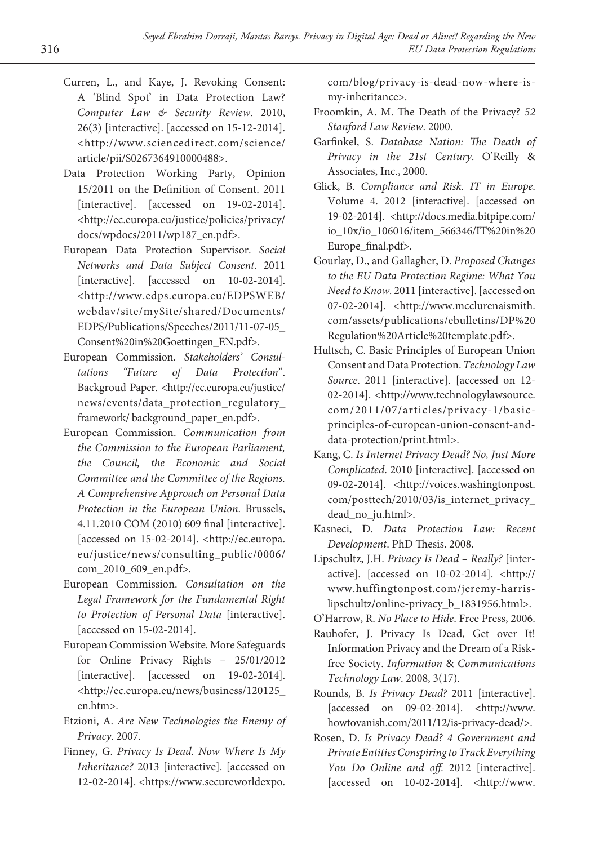- Curren, L., and Kaye, J. Revoking Consent: A 'Blind Spot' in Data Protection Law? *Computer Law & Security Review*. 2010, 26(3) [interactive]. [accessed on 15-12-2014]. <[http://www.sciencedirect.com/science/](http://www.sciencedirect.com/science/article/pii/S0267364910000488) [article/pii/S0267364910000488](http://www.sciencedirect.com/science/article/pii/S0267364910000488)>.
- Data Protection Working Party, Opinion 15/2011 on the Definition of Consent. 2011 [interactive]. [accessed on 19-02-2014]. [<http://ec.europa.eu/justice/policies/privacy/](http://ec.europa.eu/justice/policies/privacy/docs/wpdocs/2011/wp187_en.pdf) [docs/wpdocs/2011/wp187\\_en.pdf](http://ec.europa.eu/justice/policies/privacy/docs/wpdocs/2011/wp187_en.pdf)>.
- European Data Protection Supervisor. *Social Networks and Data Subject Consent*. 2011 [interactive]. [accessed on 10-02-2014]. <[http://www.edps.europa.eu/EDPSWEB/](http://www.edps.europa.eu/EDPSWEB/webdav/site/mySite/shared/Documents/EDPS/Publications/Speeches/2011/11-07-05_Consent in Goettingen_EN.pdf) [webdav/site/mySite/shared/Documents/](http://www.edps.europa.eu/EDPSWEB/webdav/site/mySite/shared/Documents/EDPS/Publications/Speeches/2011/11-07-05_Consent in Goettingen_EN.pdf) [EDPS/Publications/Speeches/2011/11-07-05\\_](http://www.edps.europa.eu/EDPSWEB/webdav/site/mySite/shared/Documents/EDPS/Publications/Speeches/2011/11-07-05_Consent in Goettingen_EN.pdf) [Consent%20in%20Goettingen\\_EN.pdf](http://www.edps.europa.eu/EDPSWEB/webdav/site/mySite/shared/Documents/EDPS/Publications/Speeches/2011/11-07-05_Consent in Goettingen_EN.pdf)>.
- European Commission. *Stakeholders' Consultations "Future of Data Protection*". Backgroud Paper*.* <[http://ec.europa.eu/justice/](http://ec.europa.eu/justice/news/events/data_protection_regulatory_framework/background_paper_en.pdf) [news/events/data\\_protection\\_regulatory\\_](http://ec.europa.eu/justice/news/events/data_protection_regulatory_framework/background_paper_en.pdf) [framework/ background\\_paper\\_en.pdf>](http://ec.europa.eu/justice/news/events/data_protection_regulatory_framework/background_paper_en.pdf).
- European Commission. *Communication from the Commission to the European Parliament, the Council, the Economic and Social Committee and the Committee of the Regions. A Comprehensive Approach on Personal Data Protection in the European Union*. Brussels, 4.11.2010 COM (2010) 609 final [interactive]. [accessed on 15-02-2014]. [<http://ec.europa.](http://ec.europa.eu/justice/news/consulting_public/0006/com_2010_609_en.pdf) [eu/justice/news/consulting\\_public/0006/](http://ec.europa.eu/justice/news/consulting_public/0006/com_2010_609_en.pdf) [com\\_2010\\_609\\_en.pdf>](http://ec.europa.eu/justice/news/consulting_public/0006/com_2010_609_en.pdf).
- European Commission. *Consultation on the Legal Framework for the Fundamental Right to Protection of Personal Data* [interactive]. [accessed on 15-02-2014].
- European Commission Website. More Safeguards for Online Privacy Rights – 25/01/2012 [interactive]. [accessed on 19-02-2014]. [<http://ec.europa.eu/news/business/120125\\_](http://ec.europa.eu/news/business/120125_en.htm) [en.htm](http://ec.europa.eu/news/business/120125_en.htm)>.
- Etzioni, A. *Are New Technologies the Enemy of Privacy*. 2007.
- Finney, G. *Privacy Is Dead. Now Where Is My Inheritance?* 2013 [interactive]. [accessed on 12-02-2014]. <[https://www.secureworldexpo.](https://www.secureworldexpo.com/blog/privacy-is-dead-now-where-is-my-inheritance)

[com/blog/privacy-is-dead-now-where-is](https://www.secureworldexpo.com/blog/privacy-is-dead-now-where-is-my-inheritance)[my-inheritance>](https://www.secureworldexpo.com/blog/privacy-is-dead-now-where-is-my-inheritance).

- Froomkin, A. M. The Death of the Privacy? *52 Stanford Law Review*. 2000.
- Garfinkel, S. *Database Nation: The Death of Privacy in the 21st Century*. O'Reilly & Associates, Inc., 2000.
- Glick, B. *Compliance and Risk. IT in Europe*. Volume 4. 2012 [interactive]. [accessed on 19-02-2014]. [<http://docs.media.bitpipe.com/](http://docs.media.bitpipe.com/io_10x/io_106016/item_566346/IT in Europe_final.pdf)  [io\\_10x/io\\_106016/item\\_566346/IT%20in%20](http://docs.media.bitpipe.com/io_10x/io_106016/item_566346/IT in Europe_final.pdf) [Europe\\_final.pdf>](http://docs.media.bitpipe.com/io_10x/io_106016/item_566346/IT in Europe_final.pdf).
- Gourlay, D., and Gallagher, D. *Proposed Changes to the EU Data Protection Regime: What You Need to Know.* 2011 [interactive]. [accessed on 07-02-2014]. <[http://www.mcclurenaismith.](http://www.mcclurenaismith.com/assets/publications/ebulletins/DP Regulation Article template.pdf) [com/assets/publications/ebulletins/DP%20](http://www.mcclurenaismith.com/assets/publications/ebulletins/DP Regulation Article template.pdf) [Regulation%20Article%20template.pdf](http://www.mcclurenaismith.com/assets/publications/ebulletins/DP Regulation Article template.pdf)>.
- Hultsch, C. Basic Principles of European Union Consent and Data Protection. *Technology Law Source*. 2011 [interactive]. [accessed on 12- 02-2014]. <[http://www.technologylawsource.](http://www.technologylawsource.com/2011/07/articles/privacy-1/basic-principles-of-european-union-consent-and-data-protection/print.html) [com/2011/07/articles/privacy-1/basic](http://www.technologylawsource.com/2011/07/articles/privacy-1/basic-principles-of-european-union-consent-and-data-protection/print.html)[principles-of-european-union-consent-and](http://www.technologylawsource.com/2011/07/articles/privacy-1/basic-principles-of-european-union-consent-and-data-protection/print.html)[data-protection/print.html](http://www.technologylawsource.com/2011/07/articles/privacy-1/basic-principles-of-european-union-consent-and-data-protection/print.html)>.
- Kang, C. *Is Internet Privacy Dead? No, Just More Complicated*. 2010 [interactive]. [accessed on 09-02-2014]. <[http://voices.washingtonpost.](http://voices.washingtonpost.com/posttech/2010/03/is_internet_privacy_dead_no_ju.html) [com/posttech/2010/03/is\\_internet\\_privacy\\_](http://voices.washingtonpost.com/posttech/2010/03/is_internet_privacy_dead_no_ju.html) [dead\\_no\\_ju.html](http://voices.washingtonpost.com/posttech/2010/03/is_internet_privacy_dead_no_ju.html)>.
- Kasneci, D. *Data Protection Law: Recent Development*. PhD Thesis. 2008.
- Lipschultz, J.H. *Privacy Is Dead Really?* [interactive]. [accessed on 10-02-2014]. [<http://](http://www.huffingtonpost.com/jeremy-harris-lipschultz/online-privacy_b_1831956.html) [www.huffingtonpost.com/jeremy-harris](http://www.huffingtonpost.com/jeremy-harris-lipschultz/online-privacy_b_1831956.html)[lipschultz/online-privacy\\_b\\_1831956.html>](http://www.huffingtonpost.com/jeremy-harris-lipschultz/online-privacy_b_1831956.html).
- [O'Harrow](http://www.google.no/search?tbo=p&tbm=bks&q=inauthor:%22Robert+O%27Harrow%22), R. *No Place to Hide*. Free Press, 2006.
- Rauhofer, J. Privacy Is Dead, Get over It! Information Privacy and the Dream of a Riskfree Society. *Information* & *Communications Technology Law*. 2008, 3(17).
- Rounds, B. *Is Privacy Dead?* 2011 [interactive]. [accessed on 09-02-2014]. **<**http://www. howtovanish.com/2011/12/is-privacy-dead/>.
- Rosen, D. *Is Privacy Dead? 4 Government and Private Entities Conspiring to Track Everything You Do Online and off.* 2012 [interactive]. [accessed on 10-02-2014]. <http://www.